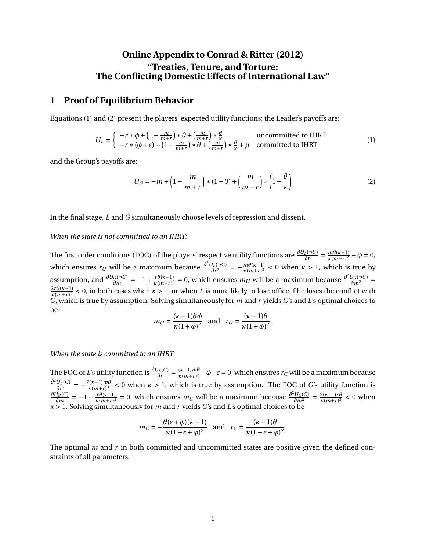## **Online Appendix to Conrad & Ritter (2012) "Treaties, Tenure, and Torture: The Conflicting Domestic Effects of International Law"**

### **1 Proof of Equilibrium Behavior**

Equations [\(1\)](#page-0-0) and [\(2\)](#page-0-1) present the players' expected utility functions; the Leader's payoffs are:

$$
U_L = \begin{cases} -r * \phi + \left(1 - \frac{m}{m+r}\right) * \theta + \left(\frac{m}{m+r}\right) * \frac{\theta}{\kappa} & \text{uncommitted to IHRT} \\ -r * (\phi + \epsilon) + \left(1 - \frac{m}{m+r}\right) * \theta + \left(\frac{m}{m+r}\right) * \frac{\theta}{\kappa} + \mu & \text{ committed to IHRT} \end{cases}
$$
(1)

and the Group's payoffs are:

<span id="page-0-1"></span><span id="page-0-0"></span>
$$
U_G = -m + \left(1 - \frac{m}{m+r}\right) * (1 - \theta) + \left(\frac{m}{m+r}\right) * \left(1 - \frac{\theta}{\kappa}\right)
$$
\n(2)

In the final stage, *L* and *G* simultaneously choose levels of repression and dissent.

### *When the state is not committed to an IHRT:*

The first order conditions (FOC) of the players' respective utility functions are  $\frac{\partial U_L(\neg C)}{\partial r} = \frac{m\theta(\kappa-1)}{\kappa(m+r)^2}$  $\frac{m\theta(\kappa-1)}{\kappa(m+r)^2} - \phi = 0,$ which ensures *r*<sub>*U*</sub> will be a maximum because  $\frac{\partial^2 U_L(\neg C)}{\partial r^2}$  $\frac{J_L(\neg C)}{\partial r^2} = -\frac{m\theta(\kappa-1)}{\kappa(m+r)^3}$  $\frac{m\theta(\kappa-1)}{\kappa(m+r)^3}$  < 0 when  $\kappa > 1$ , which is true by assumption, and  $\frac{\partial U_G(\neg C)}{\partial m} = -1 + \frac{r\theta(\kappa-1)}{\kappa(m+r)^2}$  $\frac{r\theta(\kappa-1)}{\kappa(m+r)^2} = 0$ , which ensures *m<sub>U</sub>* will be a maximum because  $\frac{\partial^2 U_G(\neg C)}{\partial m^2} = 0$  $2r\theta(\kappa-1)$  $\frac{2r\theta(\kappa-1)}{\kappa(m+r)^3}$  < 0, in both cases when  $\kappa > 1$ , or when *L* is more likely to lose office if he loses the conflict with *G*, which is true by assumption. Solving simultaneously for *m* and *r* yields *G*'s and *L*'s optimal choices to be

$$
m_U = \frac{(\kappa - 1)\theta\phi}{\kappa(1 + \phi)^2} \quad \text{and} \quad r_U = \frac{(\kappa - 1)\theta}{\kappa(1 + \phi)^2}.
$$

#### *When the state is committed to an IHRT:*

The FOC of *L*'s utility function is  $\frac{\partial U_L(C)}{\partial r} = \frac{(\kappa - 1) m \theta}{\kappa (m+r)^2}$  $\frac{(κ-1)m\theta}{κ(m+r)^2}$  −  $φ$  −  $ε$  = 0, which ensures  $r_C$  will be a maximum because *∂* <sup>2</sup>*UL*(*C*)  $\frac{U_L(C)}{\partial r^2} = -\frac{2(\kappa-1)m\theta}{\kappa(m+r)^3}$  $\frac{\mu(x-1)m\theta}{\kappa(m+r)^3}$  < 0 when  $\kappa > 1$ , which is true by assumption. The FOC of *G*'s utility function is *∂U<sup>G</sup>* (*C*)  $\frac{J_G(C)}{\partial m} = -1 + \frac{r\theta(\kappa-1)}{\kappa(m+r)^2}$  $\frac{r\theta(\kappa-1)}{\kappa(m+r)^2} = 0$ , which ensures *m<sub>C</sub>* will be a maximum because  $\frac{\partial^2 U_G(C)}{\partial m^2} = \frac{2(\kappa-1)r\theta}{\kappa(m+r)^3}$  $\frac{2(\kappa-1)r\theta}{\kappa(m+r)^3}$  < 0 when *κ* > 1. Solving simultaneously for *m* and *r* yields *G*'s and *L*'s optimal choices to be

$$
m_C = -\frac{\theta(\epsilon + \phi)(\kappa - 1)}{\kappa(1 + \epsilon + \phi)^2} \quad \text{and} \quad r_C = \frac{(\kappa - 1)\theta}{\kappa(1 + \epsilon + \phi)^2}.
$$

The optimal *m* and *r* in both committed and uncommitted states are positive given the defined constraints of all parameters.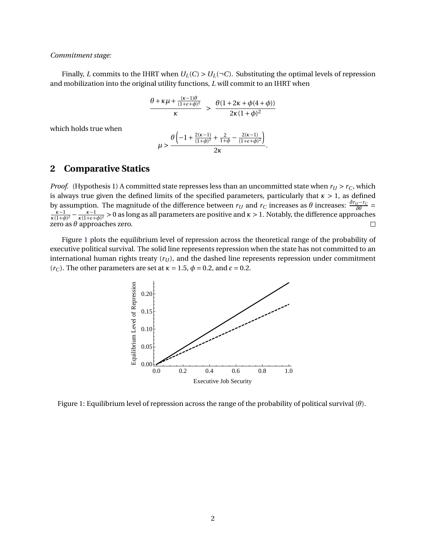### *Commitment stage:*

Finally, *L* commits to the IHRT when  $U_L(C) > U_L(\neg C)$ . Substituting the optimal levels of repression and mobilization into the original utility functions, *L* will commit to an IHRT when

$$
\frac{\theta + \kappa \mu + \frac{(\kappa - 1)\theta}{(1 + \epsilon + \phi)^2}}{\kappa} > \frac{\theta(1 + 2\kappa + \phi(4 + \phi))}{2\kappa(1 + \phi)^2}
$$

which holds true when

$$
\mu > \frac{\theta \left(-1 + \frac{2(\kappa-1)}{(1+\phi)^2} + \frac{2}{1+\phi} - \frac{2(\kappa-1)}{(1+\epsilon+\phi)^2}\right)}{2\kappa}.
$$

## **2 Comparative Statics**

*Proof.* (Hypothesis 1) A committed state represses less than an uncommitted state when  $r_U > r_C$ , which is always true given the defined limits of the specified parameters, particularly that *κ* > 1, as defined by assumption. The magnitude of the difference between  $r_U$  and  $r_C$  increases as *θ* increases:  $\frac{\partial r_U - r_C}{\partial \theta} = \frac{\kappa - 1}{2} - \frac{\kappa - 1}{2}$  > 0 as long as all parameters are positive and  $\kappa > 1$ . Notably, the difference  $\frac{\kappa-1}{\kappa(1+\phi)^2} - \frac{\kappa-1}{\kappa(1+\epsilon+1)}$  $\frac{\kappa-1}{\kappa(1+\epsilon+\phi)^2} > 0$  as long as all parameters are positive and  $\kappa > 1$ . Notably, the difference approaches zero as *θ* approaches zero.  $\Box$ 

<span id="page-1-0"></span>Figure [1](#page-1-0) plots the equilibrium level of repression across the theoretical range of the probability of executive political survival. The solid line represents repression when the state has not committed to an international human rights treaty  $(r_U)$ , and the dashed line represents repression under commitment ( $r_C$ ). The other parameters are set at  $\kappa = 1.5$ ,  $\phi = 0.2$ , and  $\epsilon = 0.2$ .



Figure 1: Equilibrium level of repression across the range of the probability of political survival (*θ*).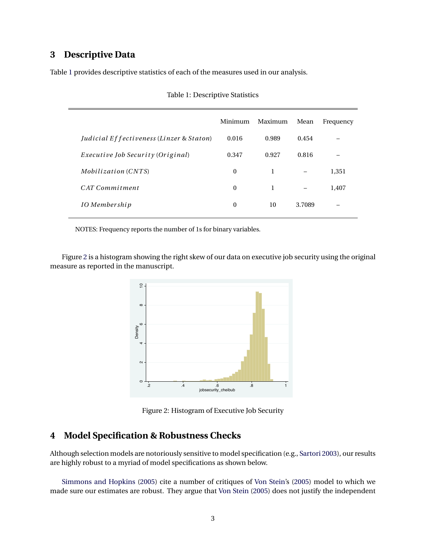## **3 Descriptive Data**

Table [1](#page-2-0) provides descriptive statistics of each of the measures used in our analysis.

|                                                     | Minimum  | Maximum | Mean   | Frequency |
|-----------------------------------------------------|----------|---------|--------|-----------|
| <i>Judicial Effectiveness (Linzer &amp; Staton)</i> | 0.016    | 0.989   | 0.454  |           |
| <i>Executive Job Security (Original)</i>            | 0.347    | 0.927   | 0.816  |           |
| <i>Mobilization</i> (CNTS)                          | $\Omega$ | 1       |        | 1,351     |
| CAT Commitment                                      | $\Omega$ | 1       |        | 1.407     |
| IO Membership                                       | $\Omega$ | 10      | 3.7089 |           |
|                                                     |          |         |        |           |

<span id="page-2-0"></span>

| Table 1: Descriptive Statistics |
|---------------------------------|
|---------------------------------|

NOTES: Frequency reports the number of 1s for binary variables.

<span id="page-2-1"></span>Figure [2](#page-2-1) is a histogram showing the right skew of our data on executive job security using the original measure as reported in the manuscript.



Figure 2: Histogram of Executive Job Security

## **4 Model Specification & Robustness Checks**

Although selection models are notoriously sensitive to model specification (e.g., [Sartori](#page-11-0) [2003\)](#page-11-0), our results are highly robust to a myriad of model specifications as shown below.

[Simmons and Hopkins](#page-11-1) [\(2005\)](#page-11-1) cite a number of critiques of [Von Stein'](#page-11-2)s [\(2005\)](#page-11-2) model to which we made sure our estimates are robust. They argue that [Von Stein](#page-11-2) [\(2005\)](#page-11-2) does not justify the independent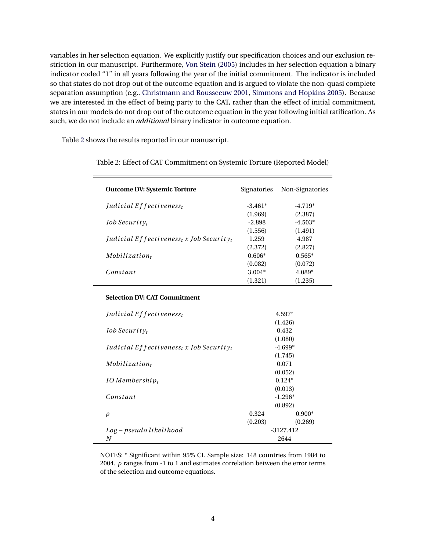variables in her selection equation. We explicitly justify our specification choices and our exclusion restriction in our manuscript. Furthermore, [Von Stein](#page-11-2) [\(2005\)](#page-11-2) includes in her selection equation a binary indicator coded "1" in all years following the year of the initial commitment. The indicator is included so that states do not drop out of the outcome equation and is argued to violate the non-quasi complete separation assumption (e.g., [Christmann and Rousseeuw](#page-11-3) [2001,](#page-11-3) [Simmons and Hopkins](#page-11-1) [2005\)](#page-11-1). Because we are interested in the effect of being party to the CAT, rather than the effect of initial commitment, states in our models do not drop out of the outcome equation in the year following initial ratification. As such, we do not include an *additional* binary indicator in outcome equation.

Table [2](#page-3-0) shows the results reported in our manuscript.

| <b>Outcome DV: Systemic Torture</b>                                         | Signatories | Non-Signatories |
|-----------------------------------------------------------------------------|-------------|-----------------|
| Judicial Effectiveness <sub>t</sub>                                         | $-3.461*$   | $-4.719*$       |
|                                                                             | (1.969)     | (2.387)         |
| <i>Iob Security</i>                                                         | $-2.898$    | $-4.503*$       |
|                                                                             | (1.556)     | (1.491)         |
| <i>Judicial Effectiveness<sub>t</sub></i> x <i>Job Security<sub>t</sub></i> | 1.259       | 4.987           |
|                                                                             | (2.372)     | (2.827)         |
| $Mobilization_t$                                                            | $0.606*$    | $0.565*$        |
|                                                                             | (0.082)     | (0.072)         |
| Constant                                                                    | $3.004*$    | 4.089*          |
|                                                                             | (1.321)     | (1.235)         |

<span id="page-3-0"></span>Table 2: Effect of CAT Commitment on Systemic Torture (Reported Model)

#### **Selection DV: CAT Commitment**

| Judicial Effectiveness <sub>t</sub>                                         | 4.597*    |           |  |  |
|-----------------------------------------------------------------------------|-----------|-----------|--|--|
|                                                                             |           | (1.426)   |  |  |
| <i>Job Security<sub>t</sub></i>                                             |           | 0.432     |  |  |
|                                                                             |           | (1.080)   |  |  |
| <i>Judicial Effectiveness<sub>t</sub></i> x <i>Job Security<sub>t</sub></i> | $-4.699*$ |           |  |  |
|                                                                             |           | (1.745)   |  |  |
| $Mobilization_t$                                                            | 0.071     |           |  |  |
|                                                                             | (0.052)   |           |  |  |
| $IO$ Membershi $p_t$                                                        | $0.124*$  |           |  |  |
|                                                                             | (0.013)   |           |  |  |
| Constant                                                                    |           | $-1.296*$ |  |  |
|                                                                             |           | (0.892)   |  |  |
| ρ                                                                           | 0.324     | $0.900*$  |  |  |
|                                                                             | (0.203)   | (0.269)   |  |  |
| Log – pseudo likelihood                                                     | -3127.412 |           |  |  |
| N                                                                           | 2644      |           |  |  |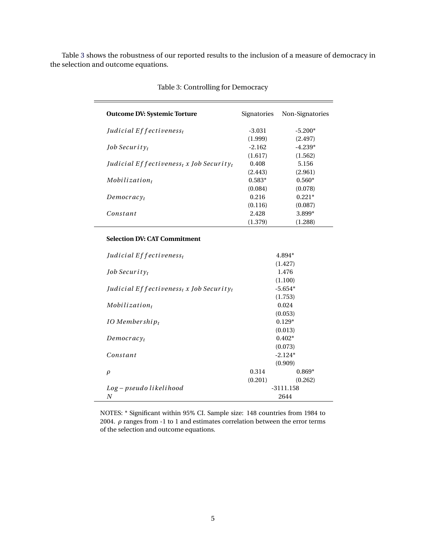Table [3](#page-4-0) shows the robustness of our reported results to the inclusion of a measure of democracy in the selection and outcome equations.

| <b>Outcome DV: Systemic Torture</b>                             | Signatories | Non-Signatories |
|-----------------------------------------------------------------|-------------|-----------------|
| Judicial $E$ f fectiveness <sub>t</sub>                         | -3.031      | $-5.200*$       |
|                                                                 | (1.999)     | (2.497)         |
| <i>Job Security</i>                                             | $-2.162$    | $-4.239*$       |
|                                                                 | (1.617)     | (1.562)         |
| Judicial Effectiveness <sub>t</sub> x Job Security <sub>t</sub> | 0.408       | 5.156           |
|                                                                 | (2.443)     | (2.961)         |
| $Mobilization_t$                                                | $0.583*$    | $0.560*$        |
|                                                                 | (0.084)     | (0.078)         |
| Democracy <sub>t</sub>                                          | 0.216       | $0.221*$        |
|                                                                 | (0.116)     | (0.087)         |
| Constant                                                        | 2.428       | $3.899*$        |
|                                                                 | (1.379)     | (1.288)         |

<span id="page-4-0"></span>

|  | Table 3: Controlling for Democracy |  |
|--|------------------------------------|--|
|--|------------------------------------|--|

### **Selection DV: CAT Commitment**

| Judicial Effectiveness <sub>t</sub>                                          | $4.894*$    |           |  |  |
|------------------------------------------------------------------------------|-------------|-----------|--|--|
|                                                                              |             | (1.427)   |  |  |
| <i>Job Security</i>                                                          |             | 1.476     |  |  |
|                                                                              |             | (1.100)   |  |  |
| <i>Judicial Effectiveness<sub>t</sub></i> x <i>Job Security</i> <sub>t</sub> |             | $-5.654*$ |  |  |
|                                                                              |             | (1.753)   |  |  |
| $Mobilization_t$                                                             |             | 0.024     |  |  |
|                                                                              |             | (0.053)   |  |  |
| $IO$ Membershi $p_t$                                                         |             | $0.129*$  |  |  |
|                                                                              |             | (0.013)   |  |  |
| Democracy <sub>t</sub>                                                       | $0.402*$    |           |  |  |
|                                                                              |             | (0.073)   |  |  |
| Constant                                                                     |             | $-2.124*$ |  |  |
|                                                                              |             | (0.909)   |  |  |
| $\rho$                                                                       | 0.314       | $0.869*$  |  |  |
|                                                                              | (0.201)     | (0.262)   |  |  |
| Log – pseudo likelihood                                                      | $-3111.158$ |           |  |  |
| N                                                                            | 2644        |           |  |  |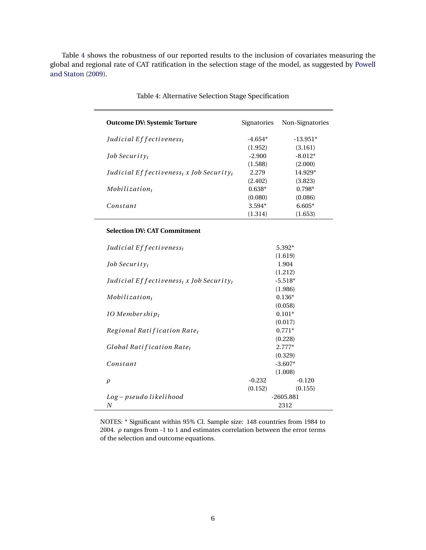Table [4](#page-5-0) shows the robustness of our reported results to the inclusion of covariates measuring the global and regional rate of CAT ratification in the selection stage of the model, as suggested by [Powell](#page-11-4) [and Staton](#page-11-4) [\(2009\)](#page-11-4).

| <b>Outcome DV: Systemic Torture</b>                                         | Signatories | Non-Signatories |
|-----------------------------------------------------------------------------|-------------|-----------------|
| Judicial Effectiveness <sub>t</sub>                                         | $-4.654*$   | $-13.951*$      |
|                                                                             | (1.952)     | (3.161)         |
| <i>Job Security</i>                                                         | $-2.900$    | $-8.012*$       |
|                                                                             | (1.588)     | (2.000)         |
| <i>Judicial Effectiveness<sub>t</sub></i> x <i>Job Security<sub>t</sub></i> | 2.279       | 14.929*         |
|                                                                             | (2.402)     | (3.823)         |
| $Mobilization_t$                                                            | $0.638*$    | $0.798*$        |
|                                                                             | (0.080)     | (0.086)         |
| Constant                                                                    | $3.594*$    | $6.605*$        |
|                                                                             | (1.314)     | (1.653)         |

<span id="page-5-0"></span>Table 4: Alternative Selection Stage Specification

#### **Selection DV: CAT Commitment**

| Judicial Effectiveness <sub>t</sub>                                          | $5.392*$    |           |  |
|------------------------------------------------------------------------------|-------------|-----------|--|
|                                                                              |             | (1.619)   |  |
| <i>Job Security</i>                                                          |             | 1.904     |  |
|                                                                              |             | (1.212)   |  |
| <i>Judicial Effectiveness<sub>t</sub></i> x <i>Job Security</i> <sub>t</sub> |             | $-5.518*$ |  |
|                                                                              |             | (1.986)   |  |
| $Mobilization_t$                                                             |             | $0.136*$  |  |
|                                                                              |             | (0.058)   |  |
| $IO$ Membershi $p_t$                                                         |             | $0.101*$  |  |
|                                                                              |             | (0.017)   |  |
| Regional Ratification Rate <sub>t</sub>                                      | $0.771*$    |           |  |
|                                                                              |             | (0.228)   |  |
| Global Ratification Rate <sub>t</sub>                                        |             | $2.777*$  |  |
|                                                                              |             | (0.329)   |  |
| Constant                                                                     |             | $-3.607*$ |  |
|                                                                              |             | (1.008)   |  |
| $\rho$                                                                       | $-0.232$    | $-0.120$  |  |
|                                                                              | (0.152)     | (0.155)   |  |
| Log – pseudo likelihood                                                      | $-2605.881$ |           |  |
| N                                                                            | 2312        |           |  |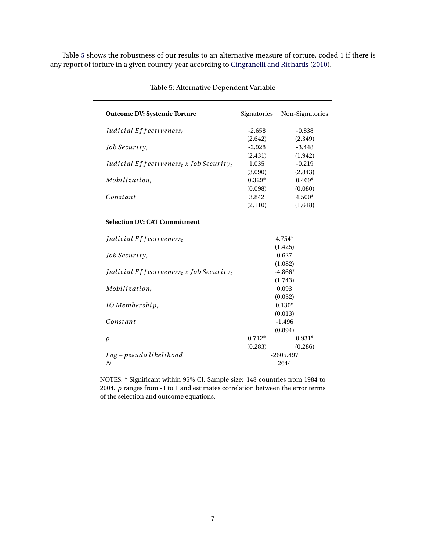Table [5](#page-6-0) shows the robustness of our results to an alternative measure of torture, coded 1 if there is any report of torture in a given country-year according to [Cingranelli and Richards](#page-11-5) [\(2010\)](#page-11-5).

| <b>Outcome DV: Systemic Torture</b>                                         | Signatories | Non-Signatories |
|-----------------------------------------------------------------------------|-------------|-----------------|
| Judicial $E$ f fectiveness <sub>t</sub>                                     | -2.658      | -0.838          |
|                                                                             | (2.642)     | (2.349)         |
| <i>Iob Security</i>                                                         | $-2.928$    | $-3.448$        |
|                                                                             | (2.431)     | (1.942)         |
| <i>Judicial Effectiveness<sub>t</sub></i> x <i>Job Security<sub>t</sub></i> | 1.035       | $-0.219$        |
|                                                                             | (3.090)     | (2.843)         |
| $Mobilization_t$                                                            | $0.329*$    | $0.469*$        |
|                                                                             | (0.098)     | (0.080)         |
| Constant                                                                    | 3.842       | $4.500*$        |
|                                                                             | (2.110)     | (1.618)         |

<span id="page-6-0"></span>Table 5: Alternative Dependent Variable

### **Selection DV: CAT Commitment**

| Judicial Effectiveness <sub>t</sub>                                         | 4.754*      |           |  |  |
|-----------------------------------------------------------------------------|-------------|-----------|--|--|
|                                                                             | (1.425)     |           |  |  |
| <i>Job Security<sub>t</sub></i>                                             |             | 0.627     |  |  |
|                                                                             |             | (1.082)   |  |  |
| <i>Judicial Effectiveness<sub>t</sub></i> x <i>Job Security<sub>t</sub></i> |             | $-4.866*$ |  |  |
|                                                                             |             | (1.743)   |  |  |
| $Mobilization_t$                                                            |             | 0.093     |  |  |
|                                                                             | (0.052)     |           |  |  |
| $IO$ Membershi $p_t$                                                        |             | $0.130*$  |  |  |
|                                                                             | (0.013)     |           |  |  |
| Constant                                                                    |             | $-1.496$  |  |  |
|                                                                             |             | (0.894)   |  |  |
| ρ                                                                           | $0.712*$    | $0.931*$  |  |  |
|                                                                             | (0.283)     | (0.286)   |  |  |
| Log – pseudo likelihood                                                     | $-2605.497$ |           |  |  |
| N                                                                           | 2644        |           |  |  |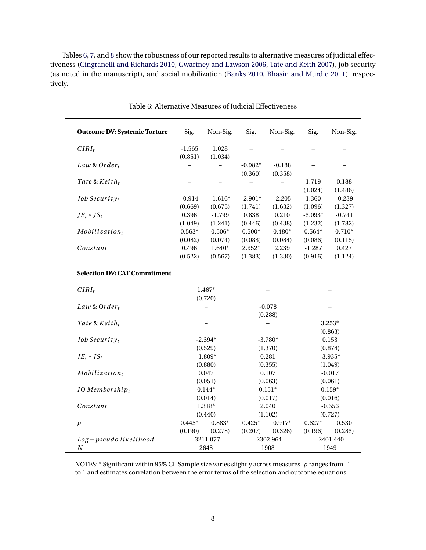Tables [6,](#page-7-0) [7,](#page-8-0) and [8](#page-9-0) show the robustness of our reported results to alternative measures of judicial effectiveness [\(Cingranelli and Richards](#page-11-5) [2010,](#page-11-5) [Gwartney and Lawson](#page-11-6) [2006,](#page-11-6) [Tate and Keith](#page-11-7) [2007\)](#page-11-7), job security (as noted in the manuscript), and social mobilization [\(Banks](#page-11-8) [2010,](#page-11-8) [Bhasin and Murdie](#page-11-9) [2011\)](#page-11-9), respectively.

| <b>Outcome DV: Systemic Torture</b>       | Sig.                | Non-Sig.             | Sig.                 | Non-Sig.             | Sig.                 | Non-Sig.            |
|-------------------------------------------|---------------------|----------------------|----------------------|----------------------|----------------------|---------------------|
| $CIRI_t$                                  | $-1.565$<br>(0.851) | 1.028<br>(1.034)     |                      |                      |                      |                     |
| Law & Order $_t$                          |                     |                      | $-0.982*$<br>(0.360) | $-0.188$<br>(0.358)  |                      |                     |
| Tate & $Keith_t$                          |                     |                      |                      |                      | 1.719<br>(1.024)     | 0.188<br>(1.486)    |
| Job Security $t$                          | $-0.914$<br>(0.669) | $-1.616*$<br>(0.675) | $-2.901*$<br>(1.741) | $-2.205$<br>(1.632)  | 1.360<br>(1.096)     | $-0.239$<br>(1.327) |
| $JE_t * JS_t$                             | 0.396<br>(1.049)    | $-1.799$<br>(1.241)  | 0.838<br>(0.446)     | 0.210<br>(0.438)     | $-3.093*$<br>(1.232) | $-0.741$<br>(1.782) |
| $Mobilization_t$                          | $0.563*$<br>(0.082) | $0.506*$<br>(0.074)  | $0.500*$<br>(0.083)  | $0.480*$<br>(0.084)  | $0.564*$<br>(0.086)  | $0.710*$<br>(0.115) |
| Constant                                  | 0.496<br>(0.522)    | $1.640*$<br>(0.567)  | $2.952*$<br>(1.383)  | 2.239<br>(1.330)     | $-1.287$<br>(0.916)  | 0.427<br>(1.124)    |
| <b>Selection DV: CAT Commitment</b>       |                     |                      |                      |                      |                      |                     |
| $CIRI_t$                                  |                     | 1.467*<br>(0.720)    |                      |                      |                      |                     |
| Law & Order $_t$                          |                     |                      |                      | $-0.078$<br>(0.288)  |                      |                     |
| Tate & $Keith_t$                          |                     |                      |                      |                      |                      | $3.253*$<br>(0.863) |
| Job Security $t$                          |                     | $-2.394*$<br>(0.529) |                      | $-3.780*$<br>(1.370) |                      | 0.153<br>(0.874)    |
| $JE_t * JS_t$                             |                     | $-1.809*$<br>(0.880) | 0.281<br>(0.355)     |                      | $-3.935*$<br>(1.049) |                     |
| $Mobilization_t$                          |                     | 0.047<br>(0.051)     |                      | 0.107<br>(0.063)     |                      | $-0.017$<br>(0.061) |
| IO Membership $_t$                        | $0.144*$<br>(0.014) |                      |                      | $0.151*$<br>(0.017)  |                      | $0.159*$<br>(0.016) |
| Constant                                  |                     | 1.318*<br>(0.440)    |                      | 2.040<br>(1.102)     |                      | $-0.556$<br>(0.727) |
| $\rho$                                    | $0.445*$<br>(0.190) | $0.883*$<br>(0.278)  | $0.425*$<br>(0.207)  | $0.917*$<br>(0.326)  | $0.627*$<br>(0.196)  | 0.530<br>(0.283)    |
| Log-pseudo likelihood<br>$\boldsymbol{N}$ | $-3211.077$<br>2643 |                      |                      | $-2302.964$<br>1908  |                      | $-2401.440$<br>1949 |

<span id="page-7-0"></span>

NOTES: \* Significant within 95% CI. Sample size varies slightly across measures. *ρ* ranges from -1 to 1 and estimates correlation between the error terms of the selection and outcome equations.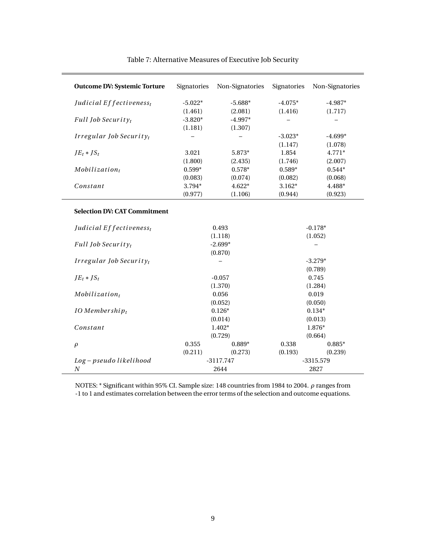| <b>Outcome DV: Systemic Torture</b>                                        | Signatories | Non-Signatories | Signatories | Non-Signatories      |
|----------------------------------------------------------------------------|-------------|-----------------|-------------|----------------------|
| Judicial Effectiveness <sub>t</sub>                                        | $-5.022*$   | $-5.688*$       | $-4.075*$   | $-4.987*$            |
|                                                                            | (1.461)     | (2.081)         | (1.416)     | (1.717)              |
| <b>Full Job Security</b>                                                   | $-3.820*$   | $-4.997*$       |             |                      |
|                                                                            | (1.181)     | (1.307)         |             |                      |
| Irregular Job Securityt                                                    |             |                 | $-3.023*$   | $-4.699*$            |
|                                                                            |             |                 | (1.147)     | (1.078)              |
| $JE_t * JS_t$                                                              | 3.021       | 5.873*          | 1.854       | 4.771*               |
|                                                                            | (1.800)     | (2.435)         | (1.746)     | (2.007)              |
| $Mobilization_t$                                                           | $0.599*$    | $0.578*$        | $0.589*$    | $0.544*$             |
|                                                                            | (0.083)     | (0.074)         | (0.082)     | (0.068)              |
| Constant                                                                   | 3.794*      | $4.622*$        | $3.162*$    | 4.488*               |
|                                                                            | (0.977)     | (1.106)         | (0.944)     | (0.923)              |
| <b>Selection DV: CAT Commitment</b><br>Judicial Effectiveness <sub>t</sub> | 0.493       |                 | $-0.178*$   |                      |
|                                                                            |             | (1.118)         |             | (1.052)              |
| Full Job Security $t$                                                      |             | $-2.699*$       |             |                      |
| Irregular Job Security $_t$                                                |             | (0.870)         |             | $-3.279*$<br>(0.789) |
| $JE_t * JS_t$                                                              |             | $-0.057$        |             | 0.745                |
|                                                                            |             | (1.370)         |             | (1.284)              |
| $Mobilization_t$                                                           |             | 0.056           |             | 0.019                |
|                                                                            |             | (0.052)         |             | (0.050)              |
| IO Membership $_t$                                                         |             | $0.126*$        |             | $0.134*$             |
|                                                                            |             | (0.014)         |             | (0.013)              |
| Constant                                                                   |             | $1.402*$        |             | 1.876*               |
|                                                                            |             | (0.729)         |             | (0.664)              |
| $\rho$                                                                     | 0.355       | $0.889*$        | 0.338       | $0.885*$             |
|                                                                            | (0.211)     | (0.273)         | (0.193)     | (0.239)              |
| Log-pseudo likelihood                                                      | $-3117.747$ |                 | $-3315.579$ |                      |
| $\boldsymbol{N}$                                                           | 2644        |                 | 2827        |                      |

### <span id="page-8-0"></span>Table 7: Alternative Measures of Executive Job Security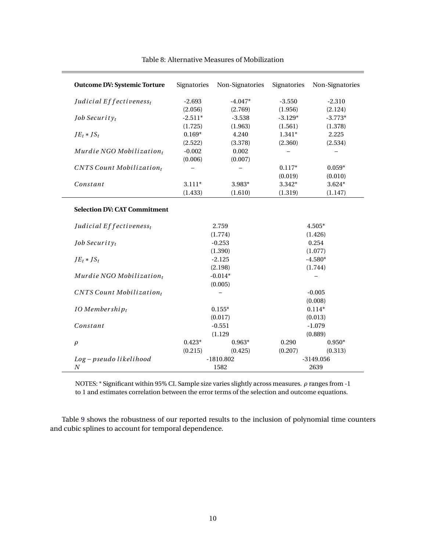| <b>Outcome DV: Systemic Torture</b>    | Signatories | Non-Signatories | Signatories         | Non-Signatories |
|----------------------------------------|-------------|-----------------|---------------------|-----------------|
| Judicial Effectiveness <sub>t</sub>    | $-2.693$    | $-4.047*$       | $-3.550$            | $-2.310$        |
|                                        | (2.056)     | (2.769)         | (1.956)             | (2.124)         |
| Job Security <sub>t</sub>              | $-2.511*$   | $-3.538$        | $-3.129*$           | $-3.773*$       |
|                                        | (1.725)     | (1.963)         | (1.561)             | (1.378)         |
| $JE_t * JS_t$                          | $0.169*$    | 4.240           | $1.341*$            | 2.225           |
|                                        | (2.522)     | (3.378)         | (2.360)             | (2.534)         |
| Murdie NGO Mobilization $t$            | $-0.002$    | 0.002           |                     |                 |
|                                        | (0.006)     | (0.007)         |                     |                 |
| $CNTS$ Count Mobilization <sub>t</sub> |             |                 | $0.117*$            | $0.059*$        |
|                                        |             |                 | (0.019)             | (0.010)         |
| Constant                               | $3.111*$    | 3.983*          | 3.342*              | $3.624*$        |
|                                        | (1.433)     | (1.610)         | (1.319)             | (1.147)         |
| <b>Selection DV: CAT Commitment</b>    |             |                 |                     |                 |
| Judicial Effectiveness <sub>t</sub>    | 2.759       |                 | $4.505*$            |                 |
|                                        | (1.774)     |                 | (1.426)             |                 |
| Job Security <sub>t</sub>              |             | $-0.253$        |                     | 0.254           |
|                                        |             | (1.390)         |                     | (1.077)         |
| $JE_t * JS_t$                          |             | $-2.125$        |                     | $-4.580*$       |
|                                        |             | (2.198)         |                     | (1.744)         |
| Murdie NGO Mobilization $t$            |             | $-0.014*$       |                     |                 |
|                                        |             | (0.005)         |                     |                 |
| $CNTS$ Count Mobilization <sub>t</sub> |             |                 | $-0.005$<br>(0.008) |                 |
| $IO$ Membershi $p_t$                   | $0.155*$    |                 | $0.114*$            |                 |
|                                        | (0.017)     |                 | (0.013)             |                 |
| Constant                               | $-0.551$    |                 | $-1.079$            |                 |
|                                        |             | (1.129)         |                     | (0.889)         |
| $\rho$                                 | $0.423*$    | $0.963*$        | 0.290               | $0.950*$        |
|                                        | (0.215)     | (0.425)         | (0.207)             | (0.313)         |
| Log-pseudo likelihood                  | $-1810.802$ |                 | $-3149.056$         |                 |
| $\boldsymbol{N}$                       |             | 1582            |                     | 2639            |

### <span id="page-9-0"></span>Table 8: Alternative Measures of Mobilization

NOTES: \* Significant within 95% CI. Sample size varies slightly across measures. *ρ* ranges from -1 to 1 and estimates correlation between the error terms of the selection and outcome equations.

Table [9](#page-10-0) shows the robustness of our reported results to the inclusion of polynomial time counters and cubic splines to account for temporal dependence.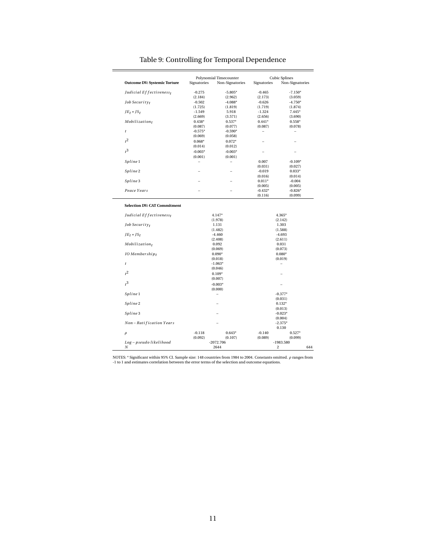| <b>Outcome DV: Systemic Torture</b> | Signatories | Polynomial Timecounter |                          | <b>Cubic Splines</b>     |  |  |
|-------------------------------------|-------------|------------------------|--------------------------|--------------------------|--|--|
|                                     |             | Non-Signatories        | Signatories              | Non-Signatories          |  |  |
| Judicial Effectiveness <sub>t</sub> | $-0.275$    | $-5.805*$              | $-0.465$                 | $-7.150*$                |  |  |
|                                     | (2.184)     | (2.962)                | (2.173)                  | (3.059)                  |  |  |
| Job Security $t$                    | $-0.502$    | $-4.088*$              | $-0.626$                 | $-4.750*$                |  |  |
|                                     | (1.725)     | (1.819)                | (1.719)                  | (1.874)                  |  |  |
| $JE_t * JS_t$                       | $-1.549$    | 5.918                  | $-1.324$                 | $7.445*$                 |  |  |
|                                     | (2.669)     | (3.571)                | (2.656)                  | (3.690)                  |  |  |
| Mobilizationt                       | $0.438*$    | $0.537*$               | $0.441*$                 | $0.558*$                 |  |  |
|                                     | (0.087)     | (0.077)                | (0.087)                  | (0.078)                  |  |  |
| $\boldsymbol{t}$                    | $-0.575*$   | $-0.590*$              | $\overline{\phantom{0}}$ | $\overline{\phantom{0}}$ |  |  |
|                                     | (0.069)     | (0.058)                |                          |                          |  |  |
| $t^2$                               | $0.068*$    | $0.072*$               |                          |                          |  |  |
|                                     | (0.014)     | (0.012)                |                          |                          |  |  |
| $t^3$                               | $-0.003*$   | $-0.003*$              | $\overline{a}$           | $\overline{a}$           |  |  |
|                                     | (0.001)     | (0.001)                |                          |                          |  |  |
| Spline 1                            | -           | -                      | 0.007                    | $-0.109*$                |  |  |
|                                     |             |                        | (0.031)                  | (0.027)                  |  |  |
| Spline 2                            |             |                        | $-0.019$                 | $0.033*$                 |  |  |
|                                     |             |                        | (0.016)                  | (0.014)                  |  |  |
| Spline 3                            |             |                        | $0.011*$                 | $-0.004$                 |  |  |
|                                     |             |                        | (0.005)                  | (0.005)                  |  |  |
| Peace Years                         |             |                        | $-0.432*$                | $-0.826*$                |  |  |
|                                     |             |                        | (0.116)                  | (0.099)                  |  |  |
|                                     |             | (1.978)<br>1.131       |                          | (2.142)<br>1.303         |  |  |
|                                     |             |                        |                          |                          |  |  |
| Job Security <sub>t</sub>           |             | (1.482)                |                          | (1.588)                  |  |  |
| $JE_t * JS_t$                       |             | $-4.460$               | $-4.693$                 |                          |  |  |
|                                     |             | (2.408)                |                          | (2.611)                  |  |  |
| Mobilizationt                       |             | 0.092                  |                          | 0.031                    |  |  |
|                                     |             | (0.069)                |                          | (0.073)                  |  |  |
| $IO$ Membership <sub>t</sub>        |             | $0.090*$               |                          | $0.080*$                 |  |  |
|                                     |             | (0.018)                |                          | (0.019)                  |  |  |
| $\boldsymbol{t}$                    |             | $-1.063*$              | $\equiv$                 |                          |  |  |
|                                     |             | (0.046)                |                          |                          |  |  |
| $t^2$                               |             | $0.109*$               |                          |                          |  |  |
|                                     |             | (0.007)                |                          |                          |  |  |
| r <sup>3</sup>                      |             | $-0.003*$              |                          |                          |  |  |
|                                     | (0.000)     |                        |                          |                          |  |  |
| Spline 1                            |             |                        |                          | $-0.377*$                |  |  |
|                                     |             |                        |                          | (0.031)                  |  |  |
| Spline 2                            |             |                        | $0.132*$                 |                          |  |  |
|                                     |             |                        | (0.013)                  |                          |  |  |
| Spline 3                            |             |                        |                          | $-0.023*$                |  |  |
|                                     |             |                        |                          | (0.004)                  |  |  |
| Non-Ratification Years              |             |                        |                          | $-2.375*$                |  |  |
|                                     |             |                        |                          | 0.130                    |  |  |
| $\rho$                              | $-0.118$    | $0.643*$               | $-0.140$                 | $0.527*$                 |  |  |
|                                     | (0.092)     | (0.107)                | (0.089)                  | (0.099)                  |  |  |
| Log-pseudo likelihood               |             | $-2072.706$            |                          | $-1983.580$              |  |  |
| Ν                                   | 2644        |                        | $\overline{c}$<br>644    |                          |  |  |

# <span id="page-10-0"></span>Table 9: Controlling for Temporal Dependence